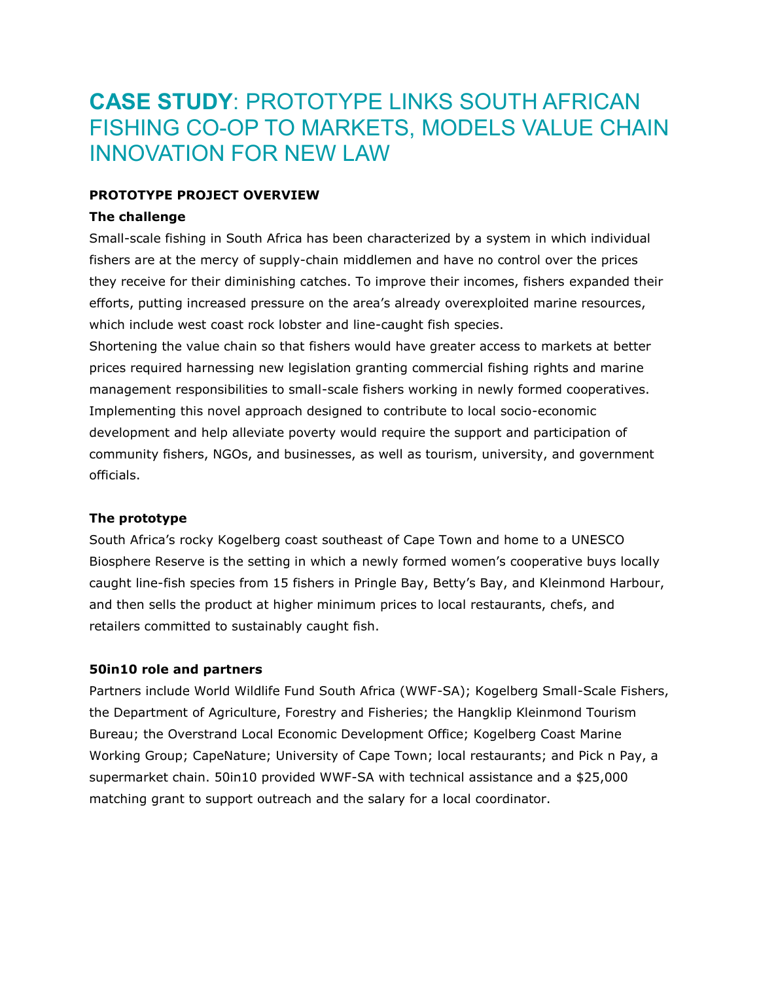# **CASE STUDY**: PROTOTYPE LINKS SOUTH AFRICAN FISHING CO-OP TO MARKETS, MODELS VALUE CHAIN INNOVATION FOR NEW LAW

# **PROTOTYPE PROJECT OVERVIEW**

# **The challenge**

Small-scale fishing in South Africa has been characterized by a system in which individual fishers are at the mercy of supply-chain middlemen and have no control over the prices they receive for their diminishing catches. To improve their incomes, fishers expanded their efforts, putting increased pressure on the area's already overexploited marine resources, which include west coast rock lobster and line-caught fish species.

Shortening the value chain so that fishers would have greater access to markets at better prices required harnessing new legislation granting commercial fishing rights and marine management responsibilities to small-scale fishers working in newly formed cooperatives. Implementing this novel approach designed to contribute to local socio-economic development and help alleviate poverty would require the support and participation of community fishers, NGOs, and businesses, as well as tourism, university, and government officials.

# **The prototype**

South Africa's rocky Kogelberg coast southeast of Cape Town and home to a UNESCO Biosphere Reserve is the setting in which a newly formed women's cooperative buys locally caught line-fish species from 15 fishers in Pringle Bay, Betty's Bay, and Kleinmond Harbour, and then sells the product at higher minimum prices to local restaurants, chefs, and retailers committed to sustainably caught fish.

#### **50in10 role and partners**

Partners include World Wildlife Fund South Africa (WWF-SA); Kogelberg Small-Scale Fishers, the Department of Agriculture, Forestry and Fisheries; the Hangklip Kleinmond Tourism Bureau; the Overstrand Local Economic Development Office; Kogelberg Coast Marine Working Group; CapeNature; University of Cape Town; local restaurants; and Pick n Pay, a supermarket chain. 50in10 provided WWF-SA with technical assistance and a \$25,000 matching grant to support outreach and the salary for a local coordinator.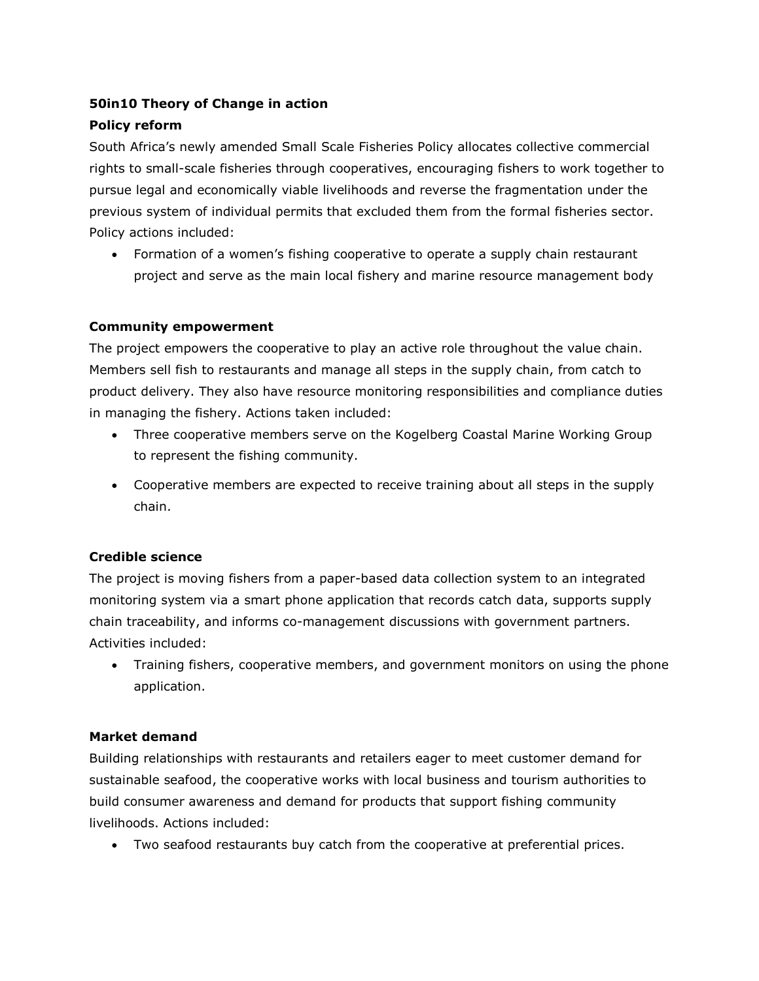# **50in10 Theory of Change in action**

# **Policy reform**

South Africa's newly amended Small Scale Fisheries Policy allocates collective commercial rights to small-scale fisheries through cooperatives, encouraging fishers to work together to pursue legal and economically viable livelihoods and reverse the fragmentation under the previous system of individual permits that excluded them from the formal fisheries sector. Policy actions included:

 Formation of a women's fishing cooperative to operate a supply chain restaurant project and serve as the main local fishery and marine resource management body

### **Community empowerment**

The project empowers the cooperative to play an active role throughout the value chain. Members sell fish to restaurants and manage all steps in the supply chain, from catch to product delivery. They also have resource monitoring responsibilities and compliance duties in managing the fishery. Actions taken included:

- Three cooperative members serve on the Kogelberg Coastal Marine Working Group to represent the fishing community.
- Cooperative members are expected to receive training about all steps in the supply chain.

# **Credible science**

The project is moving fishers from a paper-based data collection system to an integrated monitoring system via a smart phone application that records catch data, supports supply chain traceability, and informs co-management discussions with government partners. Activities included:

 Training fishers, cooperative members, and government monitors on using the phone application.

#### **Market demand**

Building relationships with restaurants and retailers eager to meet customer demand for sustainable seafood, the cooperative works with local business and tourism authorities to build consumer awareness and demand for products that support fishing community livelihoods. Actions included:

Two seafood restaurants buy catch from the cooperative at preferential prices.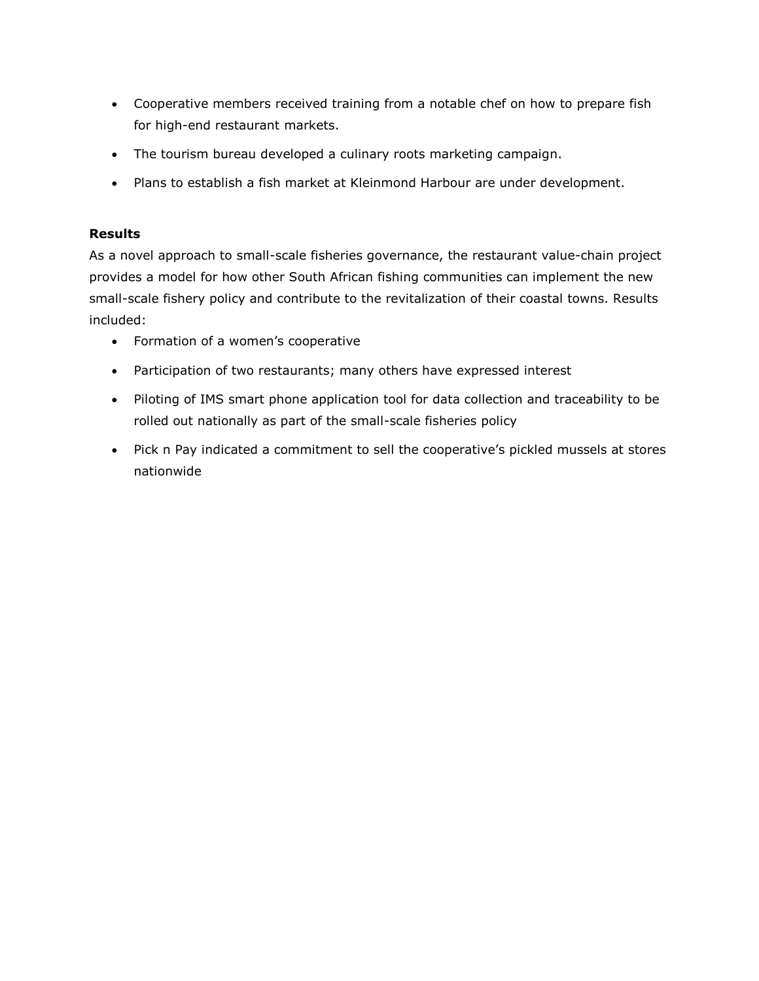- Cooperative members received training from a notable chef on how to prepare fish for high-end restaurant markets.
- The tourism bureau developed a culinary roots marketing campaign.
- Plans to establish a fish market at Kleinmond Harbour are under development.

# **Results**

As a novel approach to small-scale fisheries governance, the restaurant value-chain project provides a model for how other South African fishing communities can implement the new small-scale fishery policy and contribute to the revitalization of their coastal towns. Results included:

- Formation of a women's cooperative
- Participation of two restaurants; many others have expressed interest
- Piloting of IMS smart phone application tool for data collection and traceability to be rolled out nationally as part of the small-scale fisheries policy
- Pick n Pay indicated a commitment to sell the cooperative's pickled mussels at stores nationwide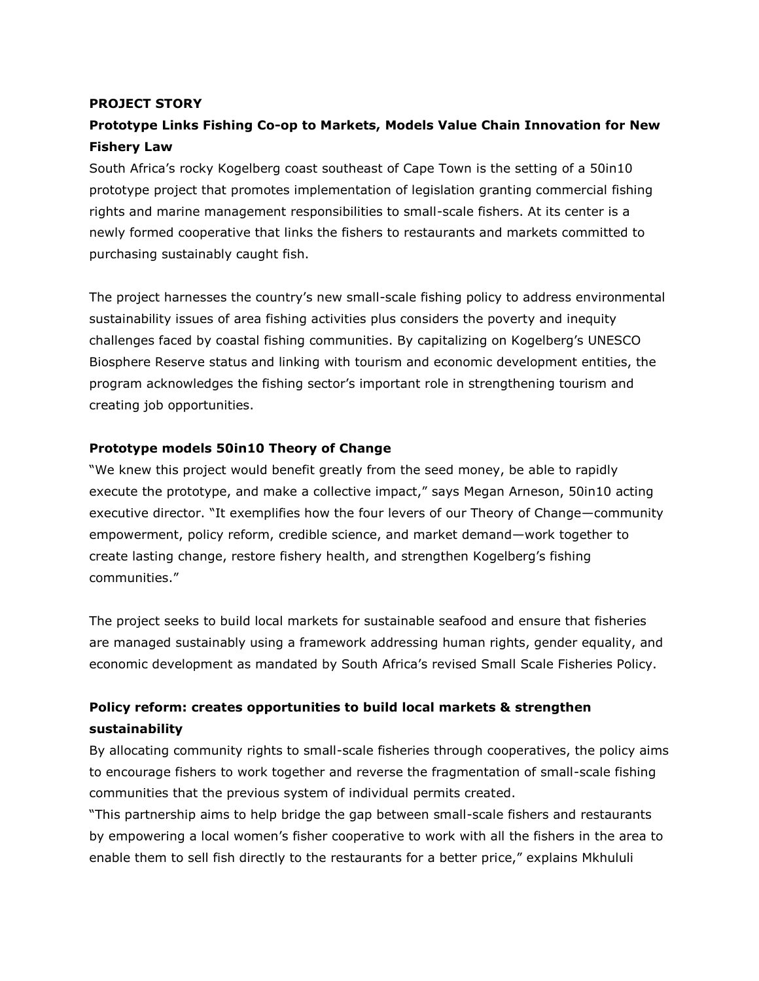#### **PROJECT STORY**

# **Prototype Links Fishing Co-op to Markets, Models Value Chain Innovation for New Fishery Law**

South Africa's rocky Kogelberg coast southeast of Cape Town is the setting of a 50in10 prototype project that promotes implementation of legislation granting commercial fishing rights and marine management responsibilities to small-scale fishers. At its center is a newly formed cooperative that links the fishers to restaurants and markets committed to purchasing sustainably caught fish.

The project harnesses the country's new small-scale fishing policy to address environmental sustainability issues of area fishing activities plus considers the poverty and inequity challenges faced by coastal fishing communities. By capitalizing on Kogelberg's UNESCO Biosphere Reserve status and linking with tourism and economic development entities, the program acknowledges the fishing sector's important role in strengthening tourism and creating job opportunities.

#### **Prototype models 50in10 Theory of Change**

"We knew this project would benefit greatly from the seed money, be able to rapidly execute the prototype, and make a collective impact," says Megan Arneson, 50in10 acting executive director. "It exemplifies how the four levers of our Theory of Change—community empowerment, policy reform, credible science, and market demand—work together to create lasting change, restore fishery health, and strengthen Kogelberg's fishing communities."

The project seeks to build local markets for sustainable seafood and ensure that fisheries are managed sustainably using a framework addressing human rights, gender equality, and economic development as mandated by South Africa's revised Small Scale Fisheries Policy.

# **Policy reform: creates opportunities to build local markets & strengthen sustainability**

By allocating community rights to small-scale fisheries through cooperatives, the policy aims to encourage fishers to work together and reverse the fragmentation of small-scale fishing communities that the previous system of individual permits created.

"This partnership aims to help bridge the gap between small-scale fishers and restaurants by empowering a local women's fisher cooperative to work with all the fishers in the area to enable them to sell fish directly to the restaurants for a better price," explains Mkhululi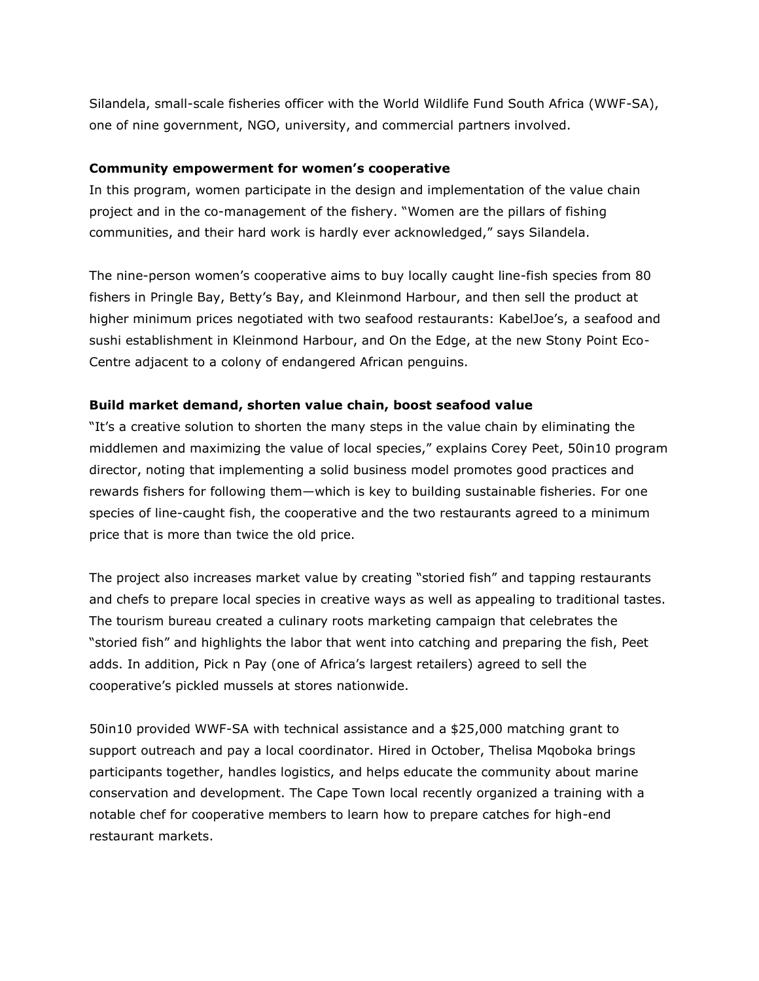Silandela, small-scale fisheries officer with the World Wildlife Fund South Africa (WWF-SA), one of nine government, NGO, university, and commercial partners involved.

#### **Community empowerment for women's cooperative**

In this program, women participate in the design and implementation of the value chain project and in the co-management of the fishery. "Women are the pillars of fishing communities, and their hard work is hardly ever acknowledged," says Silandela.

The nine-person women's cooperative aims to buy locally caught line-fish species from 80 fishers in Pringle Bay, Betty's Bay, and Kleinmond Harbour, and then sell the product at higher minimum prices negotiated with two seafood restaurants: KabelJoe's, a seafood and sushi establishment in Kleinmond Harbour, and On the Edge, at the new Stony Point Eco-Centre adjacent to a colony of endangered African penguins.

# **Build market demand, shorten value chain, boost seafood value**

"It's a creative solution to shorten the many steps in the value chain by eliminating the middlemen and maximizing the value of local species," explains Corey Peet, 50in10 program director, noting that implementing a solid business model promotes good practices and rewards fishers for following them—which is key to building sustainable fisheries. For one species of line-caught fish, the cooperative and the two restaurants agreed to a minimum price that is more than twice the old price.

The project also increases market value by creating "storied fish" and tapping restaurants and chefs to prepare local species in creative ways as well as appealing to traditional tastes. The tourism bureau created a culinary roots marketing campaign that celebrates the "storied fish" and highlights the labor that went into catching and preparing the fish, Peet adds. In addition, Pick n Pay (one of Africa's largest retailers) agreed to sell the cooperative's pickled mussels at stores nationwide.

50in10 provided WWF-SA with technical assistance and a \$25,000 matching grant to support outreach and pay a local coordinator. Hired in October, Thelisa Mqoboka brings participants together, handles logistics, and helps educate the community about marine conservation and development. The Cape Town local recently organized a training with a notable chef for cooperative members to learn how to prepare catches for high-end restaurant markets.